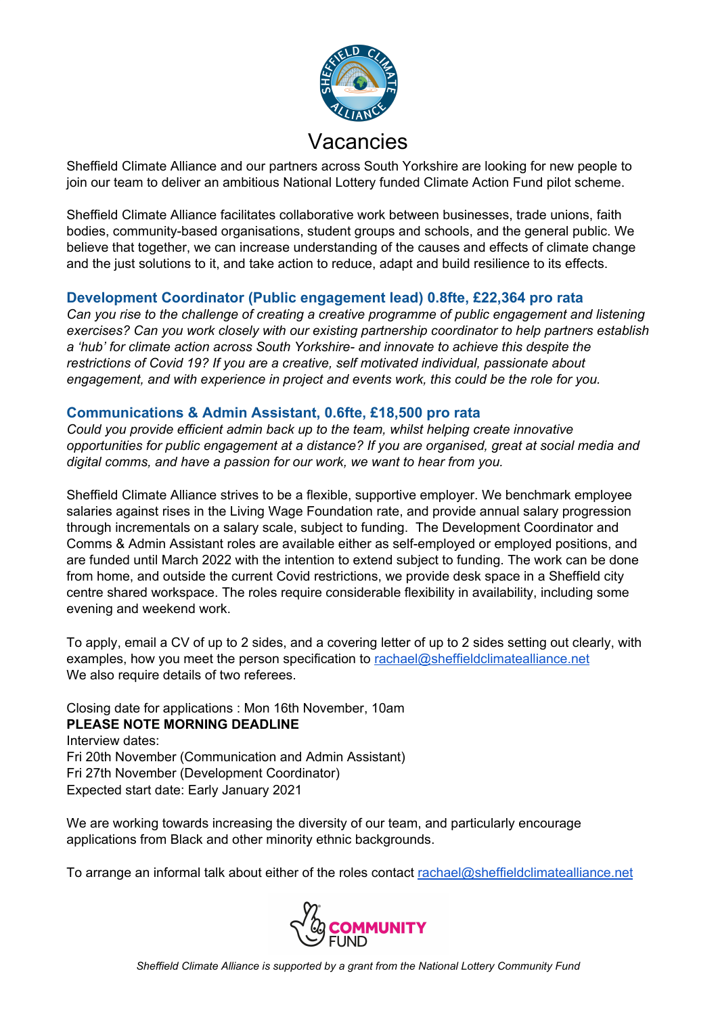

Sheffield Climate Alliance and our partners across South Yorkshire are looking for new people to join our team to deliver an ambitious National Lottery funded Climate Action Fund pilot scheme.

Sheffield Climate Alliance facilitates collaborative work between businesses, trade unions, faith bodies, community-based organisations, student groups and schools, and the general public. We believe that together, we can increase understanding of the causes and effects of climate change and the just solutions to it, and take action to reduce, adapt and build resilience to its effects.

#### **Development Coordinator (Public engagement lead) 0.8fte, £22,364 pro rata**

*Can you rise to the challenge of creating a creative programme of public engagement and listening exercises? Can you work closely with our existing partnership coordinator to help partners establish a 'hub' for climate action across South Yorkshire- and innovate to achieve this despite the restrictions of Covid 19? If you are a creative, self motivated individual, passionate about engagement, and with experience in project and events work, this could be the role for you.*

#### **Communications & Admin Assistant, 0.6fte, £18,500 pro rata**

*Could you provide efficient admin back up to the team, whilst helping create innovative opportunities for public engagement at a distance? If you are organised, great at social media and digital comms, and have a passion for our work, we want to hear from you.*

Sheffield Climate Alliance strives to be a flexible, supportive employer. We benchmark employee salaries against rises in the Living Wage Foundation rate, and provide annual salary progression through incrementals on a salary scale, subject to funding. The Development Coordinator and Comms & Admin Assistant roles are available either as self-employed or employed positions, and are funded until March 2022 with the intention to extend subject to funding. The work can be done from home, and outside the current Covid restrictions, we provide desk space in a Sheffield city centre shared workspace. The roles require considerable flexibility in availability, including some evening and weekend work.

To apply, email a CV of up to 2 sides, and a covering letter of up to 2 sides setting out clearly, with examples, how you meet the person specification to [rachael@sheffieldclimatealliance.net](mailto:rachael@sheffieldclimatealliance.net) We also require details of two referees.

Closing date for applications : Mon 16th November, 10am **PLEASE NOTE MORNING DEADLINE** Interview dates: Fri 20th November (Communication and Admin Assistant) Fri 27th November (Development Coordinator) Expected start date: Early January 2021

We are working towards increasing the diversity of our team, and particularly encourage applications from Black and other minority ethnic backgrounds.

To arrange an informal talk about either of the roles contact [rachael@sheffieldclimatealliance.net](mailto:rachael@sheffieldclimatealliance.net)

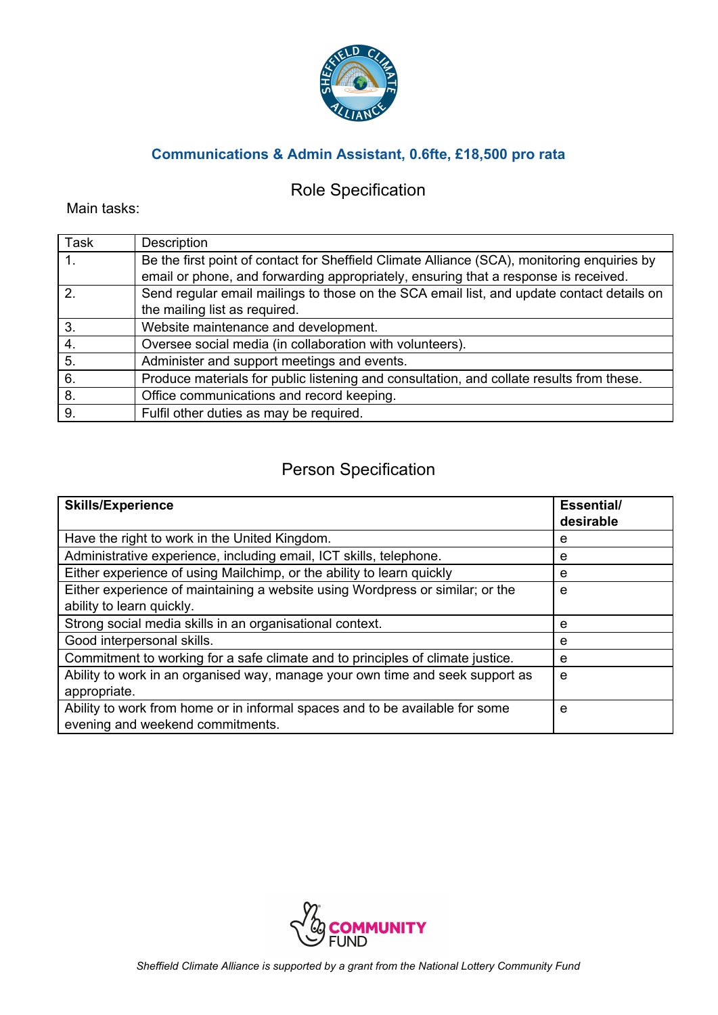

## **Communications & Admin Assistant, 0.6fte, £18,500 pro rata**

## Role Specification

Main tasks:

| <b>Task</b>      | Description                                                                                 |
|------------------|---------------------------------------------------------------------------------------------|
| 1.               | Be the first point of contact for Sheffield Climate Alliance (SCA), monitoring enquiries by |
|                  | email or phone, and forwarding appropriately, ensuring that a response is received.         |
| $\overline{2}$   | Send regular email mailings to those on the SCA email list, and update contact details on   |
|                  | the mailing list as required.                                                               |
| 3.               | Website maintenance and development.                                                        |
| $\overline{4}$ . | Oversee social media (in collaboration with volunteers).                                    |
| 5.               | Administer and support meetings and events.                                                 |
| 6.               | Produce materials for public listening and consultation, and collate results from these.    |
| 8.               | Office communications and record keeping.                                                   |
| 9.               | Fulfil other duties as may be required.                                                     |

#### Person Specification

| <b>Skills/Experience</b>                                                                                         | Essential/<br>desirable |
|------------------------------------------------------------------------------------------------------------------|-------------------------|
| Have the right to work in the United Kingdom.                                                                    | e                       |
| Administrative experience, including email, ICT skills, telephone.                                               | e                       |
| Either experience of using Mailchimp, or the ability to learn quickly                                            | e                       |
| Either experience of maintaining a website using Wordpress or similar; or the                                    | e                       |
| ability to learn quickly.                                                                                        |                         |
| Strong social media skills in an organisational context.                                                         | e                       |
| Good interpersonal skills.                                                                                       | e                       |
| Commitment to working for a safe climate and to principles of climate justice.                                   | e                       |
| Ability to work in an organised way, manage your own time and seek support as<br>appropriate.                    | e                       |
| Ability to work from home or in informal spaces and to be available for some<br>evening and weekend commitments. | e                       |